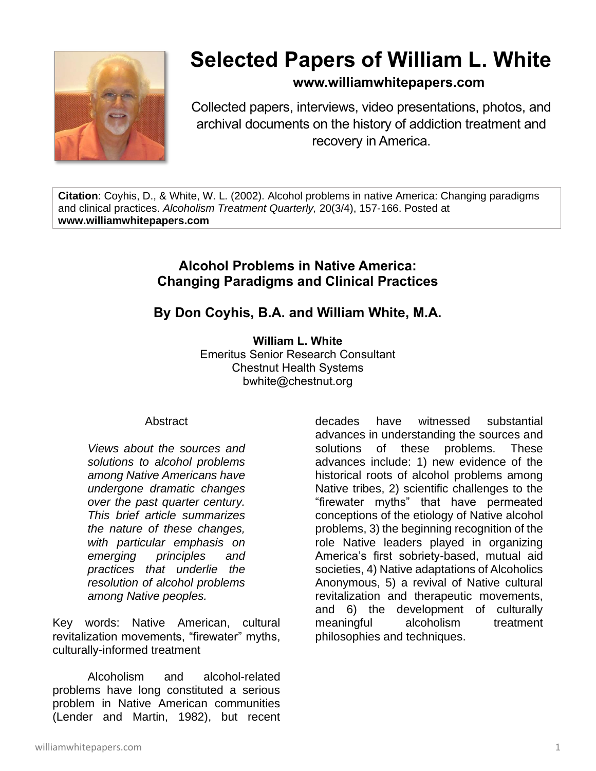

# **Selected Papers of William L. White**

## **www.williamwhitepapers.com**

Collected papers, interviews, video presentations, photos, and archival documents on the history of addiction treatment and recovery in America.

**Citation**: Coyhis, D., & White, W. L. (2002). Alcohol problems in native America: Changing paradigms and clinical practices. *Alcoholism Treatment Quarterly,* 20(3/4), 157-166. Posted at **www.williamwhitepapers.com**

# **Alcohol Problems in Native America: Changing Paradigms and Clinical Practices**

# **By Don Coyhis, B.A. and William White, M.A.**

**William L. White** Emeritus Senior Research Consultant Chestnut Health Systems bwhite@chestnut.org

#### Abstract

*Views about the sources and solutions to alcohol problems among Native Americans have undergone dramatic changes over the past quarter century. This brief article summarizes the nature of these changes, with particular emphasis on emerging principles and practices that underlie the resolution of alcohol problems among Native peoples.* 

Key words: Native American, cultural revitalization movements, "firewater" myths, culturally-informed treatment

Alcoholism and alcohol-related problems have long constituted a serious problem in Native American communities (Lender and Martin, 1982), but recent

decades have witnessed substantial advances in understanding the sources and solutions of these problems. These advances include: 1) new evidence of the historical roots of alcohol problems among Native tribes, 2) scientific challenges to the "firewater myths" that have permeated conceptions of the etiology of Native alcohol problems, 3) the beginning recognition of the role Native leaders played in organizing America's first sobriety-based, mutual aid societies, 4) Native adaptations of Alcoholics Anonymous, 5) a revival of Native cultural revitalization and therapeutic movements, and 6) the development of culturally meaningful alcoholism treatment philosophies and techniques.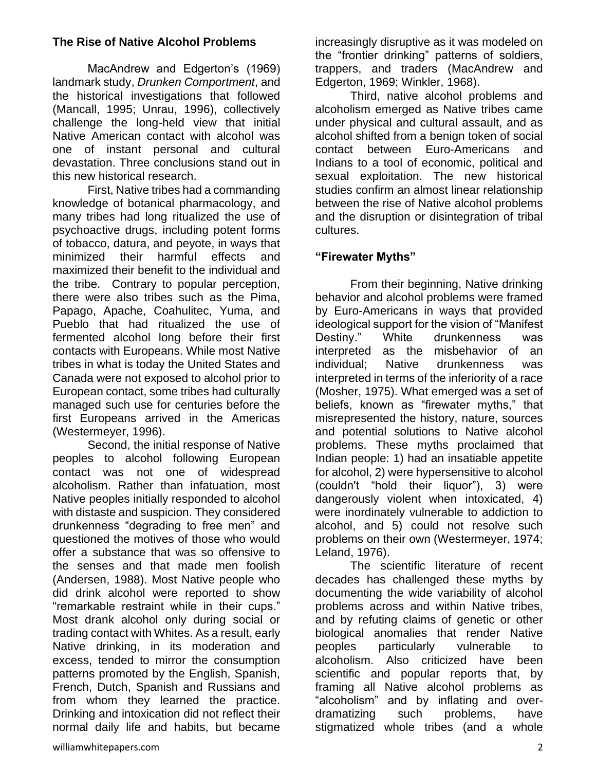### **The Rise of Native Alcohol Problems**

MacAndrew and Edgerton's (1969) landmark study, *Drunken Comportment*, and the historical investigations that followed (Mancall, 1995; Unrau, 1996), collectively challenge the long-held view that initial Native American contact with alcohol was one of instant personal and cultural devastation. Three conclusions stand out in this new historical research.

First, Native tribes had a commanding knowledge of botanical pharmacology, and many tribes had long ritualized the use of psychoactive drugs, including potent forms of tobacco, datura, and peyote, in ways that minimized their harmful effects and maximized their benefit to the individual and the tribe. Contrary to popular perception, there were also tribes such as the Pima, Papago, Apache, Coahulitec, Yuma, and Pueblo that had ritualized the use of fermented alcohol long before their first contacts with Europeans. While most Native tribes in what is today the United States and Canada were not exposed to alcohol prior to European contact, some tribes had culturally managed such use for centuries before the first Europeans arrived in the Americas (Westermeyer, 1996).

Second, the initial response of Native peoples to alcohol following European contact was not one of widespread alcoholism. Rather than infatuation, most Native peoples initially responded to alcohol with distaste and suspicion. They considered drunkenness "degrading to free men" and questioned the motives of those who would offer a substance that was so offensive to the senses and that made men foolish (Andersen, 1988). Most Native people who did drink alcohol were reported to show "remarkable restraint while in their cups." Most drank alcohol only during social or trading contact with Whites. As a result, early Native drinking, in its moderation and excess, tended to mirror the consumption patterns promoted by the English, Spanish, French, Dutch, Spanish and Russians and from whom they learned the practice. Drinking and intoxication did not reflect their normal daily life and habits, but became

increasingly disruptive as it was modeled on the "frontier drinking" patterns of soldiers, trappers, and traders (MacAndrew and Edgerton, 1969; Winkler, 1968).

Third, native alcohol problems and alcoholism emerged as Native tribes came under physical and cultural assault, and as alcohol shifted from a benign token of social contact between Euro-Americans and Indians to a tool of economic, political and sexual exploitation. The new historical studies confirm an almost linear relationship between the rise of Native alcohol problems and the disruption or disintegration of tribal cultures.

#### **"Firewater Myths"**

From their beginning, Native drinking behavior and alcohol problems were framed by Euro-Americans in ways that provided ideological support for the vision of "Manifest Destiny." White drunkenness was interpreted as the misbehavior of an individual; Native drunkenness was interpreted in terms of the inferiority of a race (Mosher, 1975). What emerged was a set of beliefs, known as "firewater myths," that misrepresented the history, nature, sources and potential solutions to Native alcohol problems. These myths proclaimed that Indian people: 1) had an insatiable appetite for alcohol, 2) were hypersensitive to alcohol (couldn't "hold their liquor"), 3) were dangerously violent when intoxicated, 4) were inordinately vulnerable to addiction to alcohol, and 5) could not resolve such problems on their own (Westermeyer, 1974; Leland, 1976).

The scientific literature of recent decades has challenged these myths by documenting the wide variability of alcohol problems across and within Native tribes, and by refuting claims of genetic or other biological anomalies that render Native peoples particularly vulnerable to alcoholism. Also criticized have been scientific and popular reports that, by framing all Native alcohol problems as "alcoholism" and by inflating and overdramatizing such problems, have stigmatized whole tribes (and a whole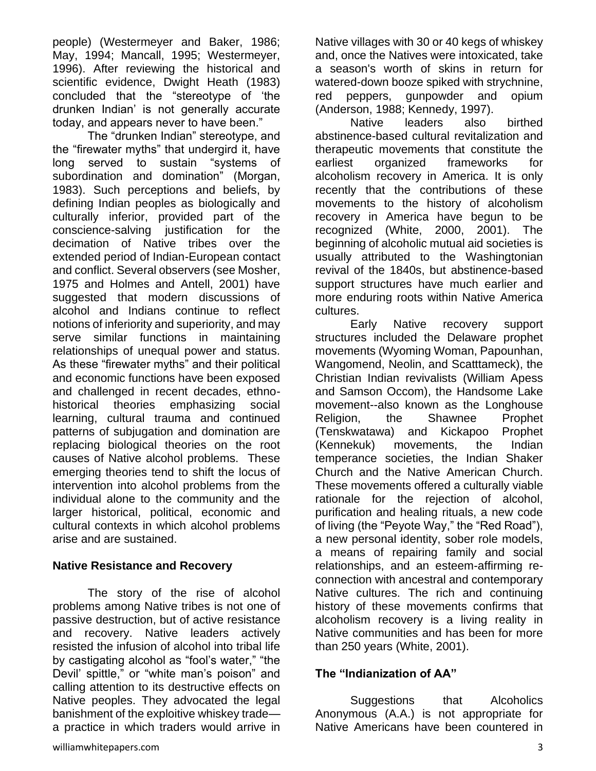people) (Westermeyer and Baker, 1986; May, 1994; Mancall, 1995; Westermeyer, 1996). After reviewing the historical and scientific evidence, Dwight Heath (1983) concluded that the "stereotype of 'the drunken Indian' is not generally accurate today, and appears never to have been."

The "drunken Indian" stereotype, and the "firewater myths" that undergird it, have long served to sustain "systems of subordination and domination" (Morgan, 1983). Such perceptions and beliefs, by defining Indian peoples as biologically and culturally inferior, provided part of the conscience-salving justification for the decimation of Native tribes over the extended period of Indian-European contact and conflict. Several observers (see Mosher, 1975 and Holmes and Antell, 2001) have suggested that modern discussions of alcohol and Indians continue to reflect notions of inferiority and superiority, and may serve similar functions in maintaining relationships of unequal power and status. As these "firewater myths" and their political and economic functions have been exposed and challenged in recent decades, ethnohistorical theories emphasizing social learning, cultural trauma and continued patterns of subjugation and domination are replacing biological theories on the root causes of Native alcohol problems. These emerging theories tend to shift the locus of intervention into alcohol problems from the individual alone to the community and the larger historical, political, economic and cultural contexts in which alcohol problems arise and are sustained.

#### **Native Resistance and Recovery**

The story of the rise of alcohol problems among Native tribes is not one of passive destruction, but of active resistance and recovery. Native leaders actively resisted the infusion of alcohol into tribal life by castigating alcohol as "fool's water," "the Devil' spittle," or "white man's poison" and calling attention to its destructive effects on Native peoples. They advocated the legal banishment of the exploitive whiskey trade a practice in which traders would arrive in Native villages with 30 or 40 kegs of whiskey and, once the Natives were intoxicated, take a season's worth of skins in return for watered-down booze spiked with strychnine, red peppers, gunpowder and opium (Anderson, 1988; Kennedy, 1997).

Native leaders also birthed abstinence-based cultural revitalization and therapeutic movements that constitute the earliest organized frameworks for alcoholism recovery in America. It is only recently that the contributions of these movements to the history of alcoholism recovery in America have begun to be recognized (White, 2000, 2001). The beginning of alcoholic mutual aid societies is usually attributed to the Washingtonian revival of the 1840s, but abstinence-based support structures have much earlier and more enduring roots within Native America cultures.

Early Native recovery support structures included the Delaware prophet movements (Wyoming Woman, Papounhan, Wangomend, Neolin, and Scatttameck), the Christian Indian revivalists (William Apess and Samson Occom), the Handsome Lake movement--also known as the Longhouse Religion, the Shawnee Prophet (Tenskwatawa) and Kickapoo Prophet (Kennekuk) movements, the Indian temperance societies, the Indian Shaker Church and the Native American Church. These movements offered a culturally viable rationale for the rejection of alcohol, purification and healing rituals, a new code of living (the "Peyote Way," the "Red Road"), a new personal identity, sober role models, a means of repairing family and social relationships, and an esteem-affirming reconnection with ancestral and contemporary Native cultures. The rich and continuing history of these movements confirms that alcoholism recovery is a living reality in Native communities and has been for more than 250 years (White, 2001).

#### **The "Indianization of AA"**

Suggestions that Alcoholics Anonymous (A.A.) is not appropriate for Native Americans have been countered in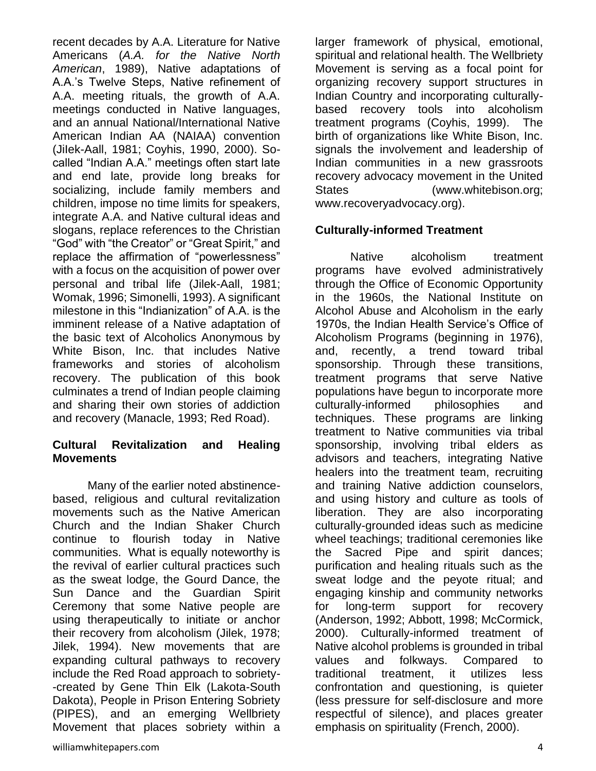recent decades by A.A. Literature for Native Americans (*A.A. for the Native North American*, 1989), Native adaptations of A.A.'s Twelve Steps, Native refinement of A.A. meeting rituals, the growth of A.A. meetings conducted in Native languages, and an annual National/International Native American Indian AA (NAIAA) convention (JiIek-Aall, 1981; Coyhis, 1990, 2000). Socalled "Indian A.A." meetings often start late and end late, provide long breaks for socializing, include family members and children, impose no time limits for speakers, integrate A.A. and Native cultural ideas and slogans, replace references to the Christian "God" with "the Creator" or "Great Spirit," and replace the affirmation of "powerlessness" with a focus on the acquisition of power over personal and tribal life (Jilek-Aall, 1981; Womak, 1996; Simonelli, 1993). A significant milestone in this "Indianization" of A.A. is the imminent release of a Native adaptation of the basic text of Alcoholics Anonymous by White Bison, Inc. that includes Native frameworks and stories of alcoholism recovery. The publication of this book culminates a trend of Indian people claiming and sharing their own stories of addiction and recovery (Manacle, 1993; Red Road).

#### **Cultural Revitalization and Healing Movements**

Many of the earlier noted abstinencebased, religious and cultural revitalization movements such as the Native American Church and the Indian Shaker Church continue to flourish today in Native communities. What is equally noteworthy is the revival of earlier cultural practices such as the sweat lodge, the Gourd Dance, the Sun Dance and the Guardian Spirit Ceremony that some Native people are using therapeutically to initiate or anchor their recovery from alcoholism (Jilek, 1978; Jilek, 1994). New movements that are expanding cultural pathways to recovery include the Red Road approach to sobriety- -created by Gene Thin Elk (Lakota-South Dakota), People in Prison Entering Sobriety (PIPES), and an emerging Wellbriety Movement that places sobriety within a larger framework of physical, emotional, spiritual and relational health. The Wellbriety Movement is serving as a focal point for organizing recovery support structures in Indian Country and incorporating culturallybased recovery tools into alcoholism treatment programs (Coyhis, 1999). The birth of organizations like White Bison, Inc. signals the involvement and leadership of Indian communities in a new grassroots recovery advocacy movement in the United States (www.whitebison.org; www.recoveryadvocacy.org).

## **Culturally-informed Treatment**

Native alcoholism treatment programs have evolved administratively through the Office of Economic Opportunity in the 1960s, the National Institute on Alcohol Abuse and Alcoholism in the early 1970s, the Indian Health Service's Office of Alcoholism Programs (beginning in 1976), and, recently, a trend toward tribal sponsorship. Through these transitions, treatment programs that serve Native populations have begun to incorporate more culturally-informed philosophies and techniques. These programs are linking treatment to Native communities via tribal sponsorship, involving tribal elders as advisors and teachers, integrating Native healers into the treatment team, recruiting and training Native addiction counselors, and using history and culture as tools of liberation. They are also incorporating culturally-grounded ideas such as medicine wheel teachings; traditional ceremonies like the Sacred Pipe and spirit dances; purification and healing rituals such as the sweat lodge and the peyote ritual; and engaging kinship and community networks for long-term support for recovery (Anderson, 1992; Abbott, 1998; McCormick, 2000). Culturally-informed treatment of Native alcohol problems is grounded in tribal values and folkways. Compared to traditional treatment, it utilizes less confrontation and questioning, is quieter (less pressure for self-disclosure and more respectful of silence), and places greater emphasis on spirituality (French, 2000).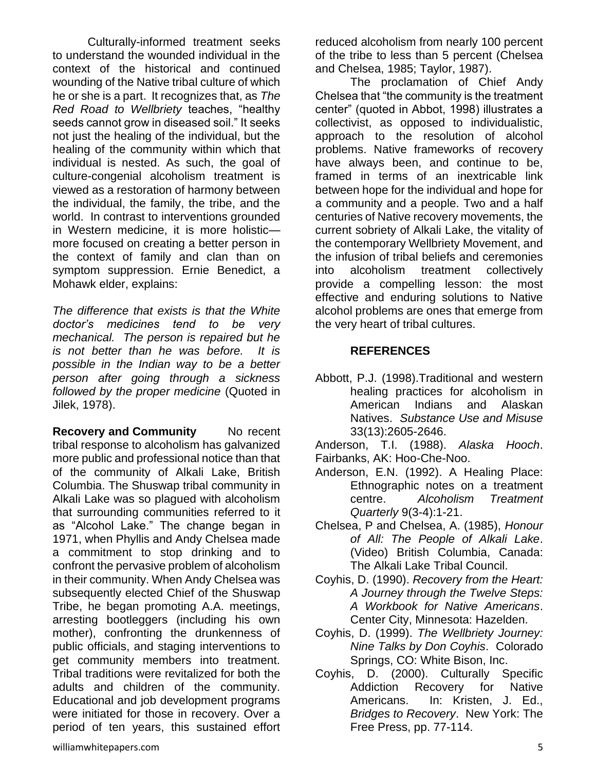Culturally-informed treatment seeks to understand the wounded individual in the context of the historical and continued wounding of the Native tribal culture of which he or she is a part. It recognizes that, as *The Red Road to Wellbriety* teaches, "healthy seeds cannot grow in diseased soil." It seeks not just the healing of the individual, but the healing of the community within which that individual is nested. As such, the goal of culture-congenial alcoholism treatment is viewed as a restoration of harmony between the individual, the family, the tribe, and the world. In contrast to interventions grounded in Western medicine, it is more holistic more focused on creating a better person in the context of family and clan than on symptom suppression. Ernie Benedict, a Mohawk elder, explains:

*The difference that exists is that the White doctor's medicines tend to be very mechanical. The person is repaired but he is not better than he was before. It is possible in the Indian way to be a better person after going through a sickness followed by the proper medicine* (Quoted in Jilek, 1978).

**Recovery and Community** No recent tribal response to alcoholism has galvanized more public and professional notice than that of the community of Alkali Lake, British Columbia. The Shuswap tribal community in Alkali Lake was so plagued with alcoholism that surrounding communities referred to it as "Alcohol Lake." The change began in 1971, when Phyllis and Andy Chelsea made a commitment to stop drinking and to confront the pervasive problem of alcoholism in their community. When Andy Chelsea was subsequently elected Chief of the Shuswap Tribe, he began promoting A.A. meetings, arresting bootleggers (including his own mother), confronting the drunkenness of public officials, and staging interventions to get community members into treatment. Tribal traditions were revitalized for both the adults and children of the community. Educational and job development programs were initiated for those in recovery. Over a period of ten years, this sustained effort

reduced alcoholism from nearly 100 percent of the tribe to less than 5 percent (Chelsea and Chelsea, 1985; Taylor, 1987).

The proclamation of Chief Andy Chelsea that "the community is the treatment center" (quoted in Abbot, 1998) illustrates a collectivist, as opposed to individualistic, approach to the resolution of alcohol problems. Native frameworks of recovery have always been, and continue to be, framed in terms of an inextricable link between hope for the individual and hope for a community and a people. Two and a half centuries of Native recovery movements, the current sobriety of Alkali Lake, the vitality of the contemporary Wellbriety Movement, and the infusion of tribal beliefs and ceremonies into alcoholism treatment collectively provide a compelling lesson: the most effective and enduring solutions to Native alcohol problems are ones that emerge from the very heart of tribal cultures.

#### **REFERENCES**

Abbott, P.J. (1998).Traditional and western healing practices for alcoholism in American Indians and Alaskan Natives. *Substance Use and Misuse*  33(13):2605-2646.

Anderson, T.I. (1988). *Alaska Hooch*. Fairbanks, AK: Hoo-Che-Noo.

- Anderson, E.N. (1992). A Healing Place: Ethnographic notes on a treatment centre. *Alcoholism Treatment Quarterly* 9(3-4):1-21.
- Chelsea, P and Chelsea, A. (1985), *Honour of All: The People of Alkali Lake*. (Video) British Columbia, Canada: The Alkali Lake Tribal Council.
- Coyhis, D. (1990). *Recovery from the Heart: A Journey through the Twelve Steps: A Workbook for Native Americans*. Center City, Minnesota: Hazelden.
- Coyhis, D. (1999). *The Wellbriety Journey: Nine Talks by Don Coyhis*. Colorado Springs, CO: White Bison, Inc.
- Coyhis, D. (2000). Culturally Specific Addiction Recovery for Native Americans. In: Kristen, J. Ed., *Bridges to Recovery*. New York: The Free Press, pp. 77-114.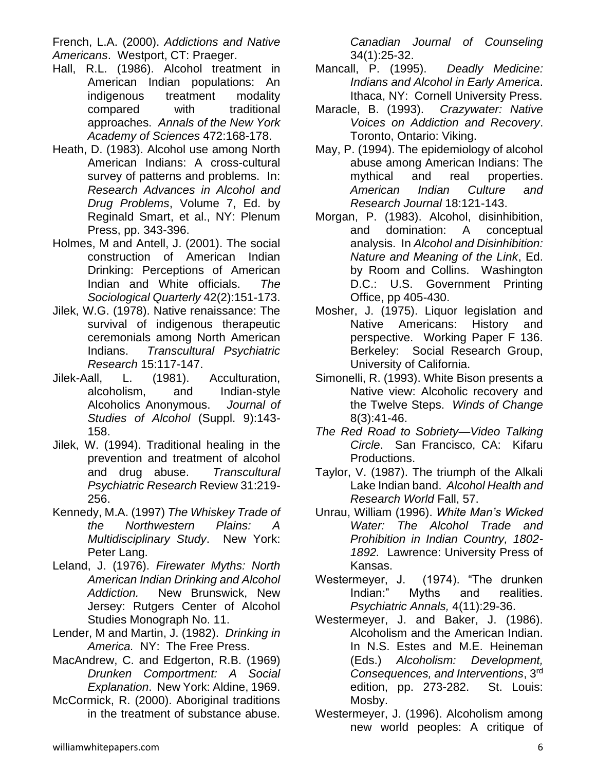French, L.A. (2000). *Addictions and Native Americans*. Westport, CT: Praeger.

- Hall, R.L. (1986). Alcohol treatment in American Indian populations: An indigenous treatment modality compared with traditional approaches. *Annals of the New York Academy of Sciences* 472:168-178.
- Heath, D. (1983). Alcohol use among North American Indians: A cross-cultural survey of patterns and problems. In: *Research Advances in Alcohol and Drug Problems*, Volume 7, Ed. by Reginald Smart, et al., NY: Plenum Press, pp. 343-396.
- Holmes, M and Antell, J. (2001). The social construction of American Indian Drinking: Perceptions of American Indian and White officials. *The Sociological Quarterly* 42(2):151-173.
- Jilek, W.G. (1978). Native renaissance: The survival of indigenous therapeutic ceremonials among North American Indians. *Transcultural Psychiatric Research* 15:117-147.
- Jilek-Aall, L. (1981). Acculturation, alcoholism, and Indian-style Alcoholics Anonymous. *Journal of Studies of Alcohol* (Suppl. 9):143- 158.
- Jilek, W. (1994). Traditional healing in the prevention and treatment of alcohol and drug abuse. *Transcultural Psychiatric Research* Review 31:219- 256.
- Kennedy, M.A. (1997) *The Whiskey Trade of the Northwestern Plains: A Multidisciplinary Study*. New York: Peter Lang.
- Leland, J. (1976). *Firewater Myths: North American Indian Drinking and Alcohol Addiction.* New Brunswick, New Jersey: Rutgers Center of Alcohol Studies Monograph No. 11.
- Lender, M and Martin, J. (1982). *Drinking in America.* NY: The Free Press.
- MacAndrew, C. and Edgerton, R.B. (1969) *Drunken Comportment: A Social Explanation*. New York: Aldine, 1969.
- McCormick, R. (2000). Aboriginal traditions in the treatment of substance abuse.

*Canadian Journal of Counseling* 34(1):25-32.

- Mancall, P. (1995). *Deadly Medicine: Indians and Alcohol in Early America*. Ithaca, NY: Cornell University Press.
- Maracle, B. (1993). *Crazywater: Native Voices on Addiction and Recovery*. Toronto, Ontario: Viking.
- May, P. (1994). The epidemiology of alcohol abuse among American Indians: The mythical and real properties. *American Indian Culture and Research Journal* 18:121-143.
- Morgan, P. (1983). Alcohol, disinhibition, and domination: A conceptual analysis. In *Alcohol and Disinhibition: Nature and Meaning of the Link*, Ed. by Room and Collins. Washington D.C.: U.S. Government Printing Office, pp 405-430.
- Mosher, J. (1975). Liquor legislation and Native Americans: History and perspective. Working Paper F 136. Berkeley: Social Research Group, University of California.
- Simonelli, R. (1993). White Bison presents a Native view: Alcoholic recovery and the Twelve Steps. *Winds of Change* 8(3):41-46.
- *The Red Road to Sobriety—Video Talking Circle*. San Francisco, CA: Kifaru Productions.
- Taylor, V. (1987). The triumph of the Alkali Lake Indian band. *Alcohol Health and Research World* Fall, 57.
- Unrau, William (1996). *White Man's Wicked Water: The Alcohol Trade and Prohibition in Indian Country, 1802- 1892.* Lawrence: University Press of Kansas.
- Westermeyer, J. (1974). "The drunken Indian:" Myths and realities. *Psychiatric Annals,* 4(11):29-36.
- Westermeyer, J. and Baker, J. (1986). Alcoholism and the American Indian. In N.S. Estes and M.E. Heineman (Eds.) *Alcoholism: Development, Consequences, and Interventions*, 3rd edition, pp. 273-282. St. Louis: Mosby.
- Westermeyer, J. (1996). Alcoholism among new world peoples: A critique of